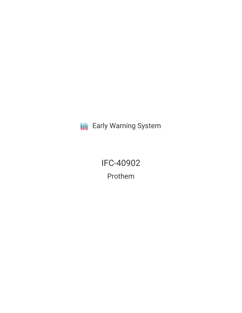**III** Early Warning System

IFC-40902 Prothem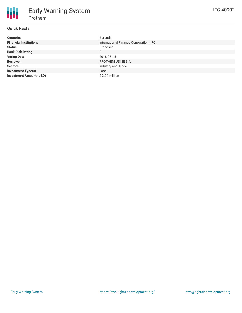# **Quick Facts**

| <b>Countries</b>               | Burundi                                 |  |  |
|--------------------------------|-----------------------------------------|--|--|
| <b>Financial Institutions</b>  | International Finance Corporation (IFC) |  |  |
| <b>Status</b>                  | Proposed                                |  |  |
| <b>Bank Risk Rating</b>        | B                                       |  |  |
| <b>Voting Date</b>             | 2018-05-15                              |  |  |
| <b>Borrower</b>                | PROTHEM USINE S.A.                      |  |  |
| <b>Sectors</b>                 | Industry and Trade                      |  |  |
| <b>Investment Type(s)</b>      | Loan                                    |  |  |
| <b>Investment Amount (USD)</b> | \$2.00 million                          |  |  |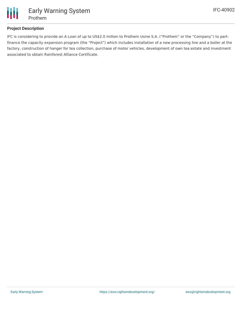

### **Project Description**

IFC is considering to provide an A Loan of up to US\$2.0 million to Prothem Usine S.A. ("Prothem" or the "Company") to partfinance the capacity expansion program (the "Project") which includes installation of a new processing line and a boiler at the factory, construction of hanger for tea collection, purchase of motor vehicles, development of own tea estate and investment associated to obtain Rainforest Alliance Certificate.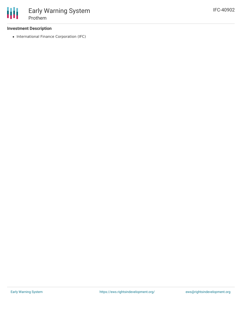#### **Investment Description**

• International Finance Corporation (IFC)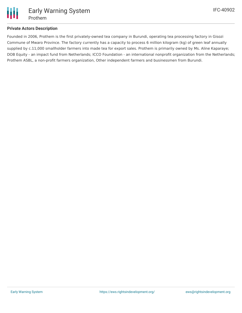

#### **Private Actors Description**

Founded in 2006, Prothem is the first privately-owned tea company in Burundi, operating tea processing factory in Gisozi Commune of Mwaro Province. The factory currently has a capacity to process 6 million kilogram (kg) of green leaf annually supplied by c.11,000 smallholder farmers into made tea for export sales. Prothem is primarily owned by Ms. Aline Kaparaye; DOB Equity - an impact fund from Netherlands; ICCO Foundation - an international nonprofit organization from the Netherlands; Prothem ASBL, a non-profit farmers organization, Other independent farmers and businessmen from Burundi.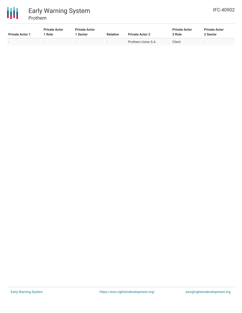

| <b>Private Actor 1</b> | <b>Private Actor</b><br>Role | <b>Private Actor</b><br><b>Sector</b> | <b>Relation</b>          | <b>Private Actor 2</b> | <b>Private Actor</b><br>2 Role | <b>Private Actor</b><br>2 Sector |
|------------------------|------------------------------|---------------------------------------|--------------------------|------------------------|--------------------------------|----------------------------------|
|                        |                              | $\overline{\phantom{0}}$              | $\overline{\phantom{0}}$ | Prothem Usine S.A.     | Client                         | $\overline{\phantom{a}}$         |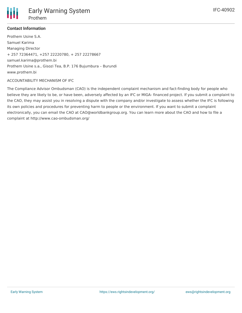

## **Contact Information**

Prothem Usine S.A. Samuel Karima Managing Director + 257 72364471, +257 22220780, + 257 22278667 samuel.karima@prothem.bi Prothem Usine s.a., Gisozi Tea, B.P. 176 Bujumbura – Burundi www.prothem.bi

#### ACCOUNTABILITY MECHANISM OF IFC

The Compliance Advisor Ombudsman (CAO) is the independent complaint mechanism and fact-finding body for people who believe they are likely to be, or have been, adversely affected by an IFC or MIGA- financed project. If you submit a complaint to the CAO, they may assist you in resolving a dispute with the company and/or investigate to assess whether the IFC is following its own policies and procedures for preventing harm to people or the environment. If you want to submit a complaint electronically, you can email the CAO at CAO@worldbankgroup.org. You can learn more about the CAO and how to file a complaint at http://www.cao-ombudsman.org/